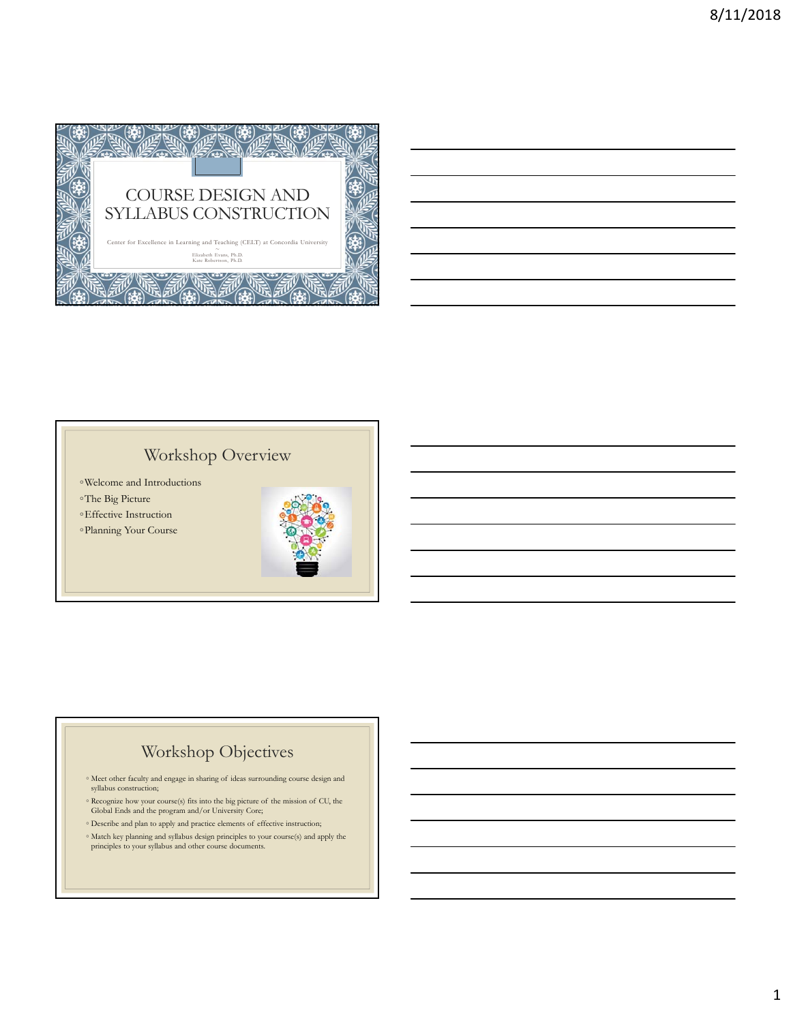

# Workshop Overview

- ◦Welcome and Introductions
- ◦The Big Picture
- ◦Effective Instruction
- ◦Planning Your Course



# Workshop Objectives

- Meet other faculty and engage in sharing of ideas surrounding course design and syllabus construction;
- Recognize how your course(s) fits into the big picture of the mission of CU, the Global Ends and the program and/or University Core;
- $\circ$  Describe and plan to apply and practice elements of effective instruction;
- Match key planning and syllabus design principles to your course(s) and apply the principles to your syllabus and other course documents.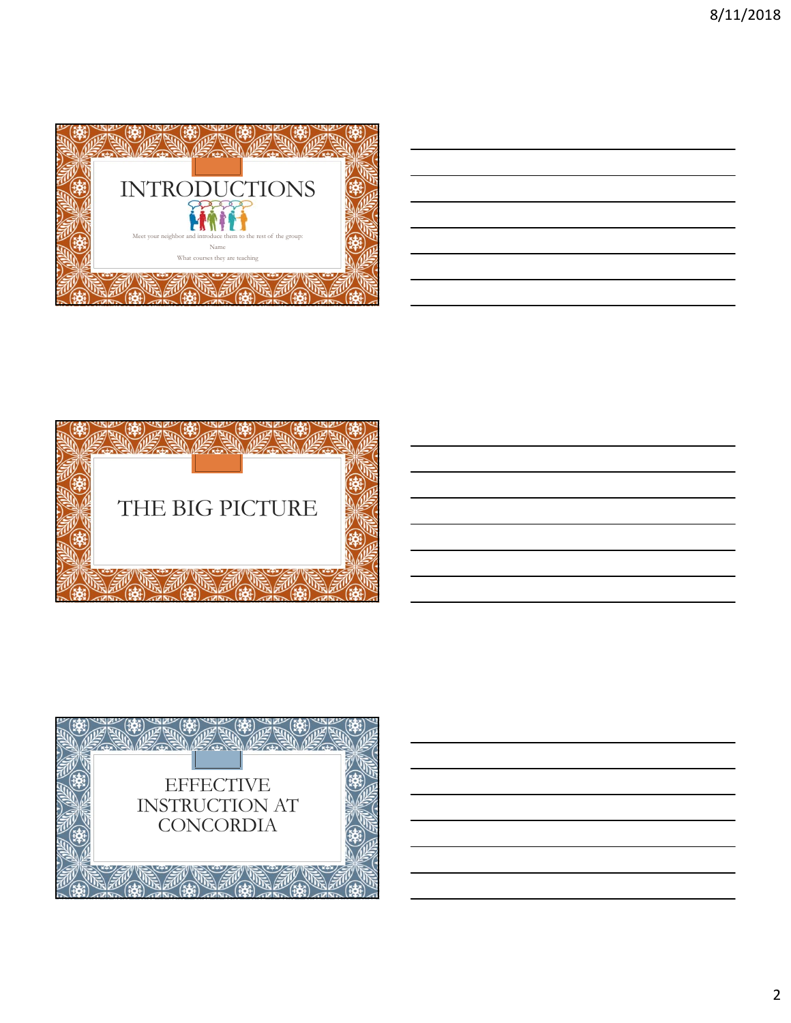

| ,我们也不会有什么。""我们的人,我们也不会有什么?""我们的人,我们也不会有什么?""我们的人,我们也不会有什么?""我们的人,我们也不会有什么?""我们的人<br><u> 1989 - Andrea Andrew Maria (h. 1989).</u><br><u> 1989 - Johann Stoff, amerikansk politiker (d. 1989)</u><br><u> 1989 - Andrea Santa Andrea Andrea Andrea Andrea Andrea Andrea Andrea Andrea Andrea Andrea Andrea Andrea Andr</u><br><u> 1989 - Johann Stoff, amerikansk politiker (d. 1989)</u> |  |  |  |
|-----------------------------------------------------------------------------------------------------------------------------------------------------------------------------------------------------------------------------------------------------------------------------------------------------------------------------------------------------------------------------------------|--|--|--|
|                                                                                                                                                                                                                                                                                                                                                                                         |  |  |  |
|                                                                                                                                                                                                                                                                                                                                                                                         |  |  |  |
|                                                                                                                                                                                                                                                                                                                                                                                         |  |  |  |
|                                                                                                                                                                                                                                                                                                                                                                                         |  |  |  |
|                                                                                                                                                                                                                                                                                                                                                                                         |  |  |  |
|                                                                                                                                                                                                                                                                                                                                                                                         |  |  |  |
|                                                                                                                                                                                                                                                                                                                                                                                         |  |  |  |



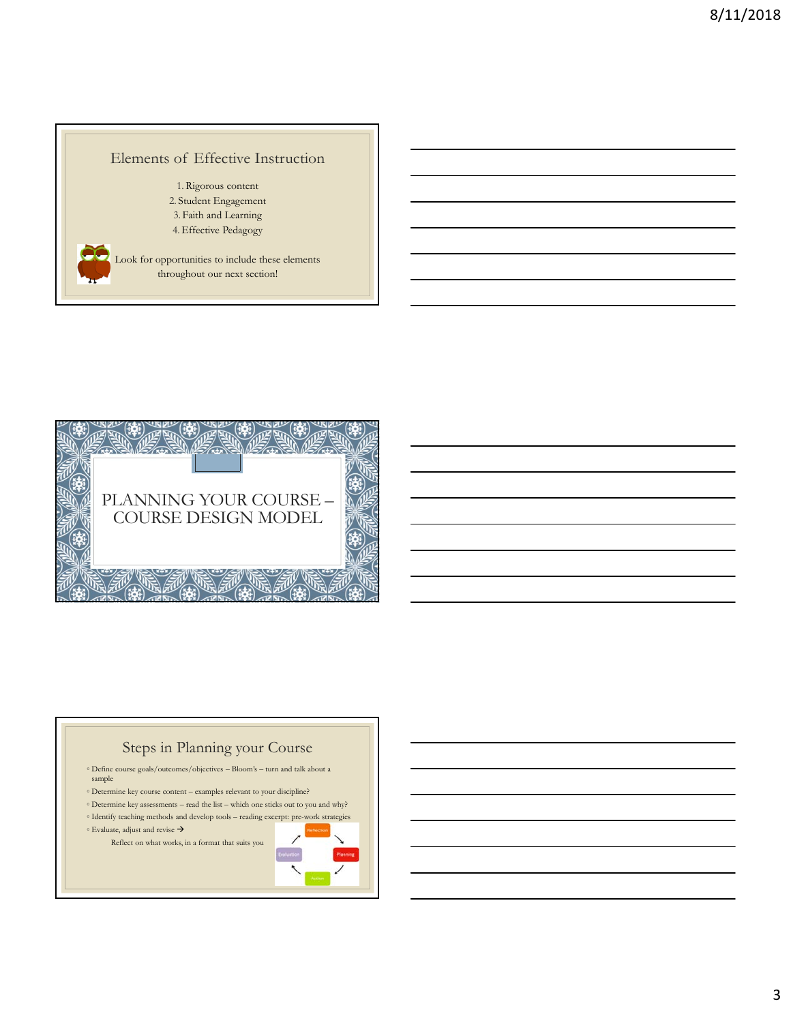### Elements of Effective Instruction

1. Rigorous content 2. Student Engagement 3. Faith and Learning 4.Effective Pedagogy

Look for opportunities to include these elements throughout our next section!





- $\circ$  Define course goals/outcomes/objectives Bloom's turn and talk about a sample
- Determine key course content examples relevant to your discipline?
- $\circ$  Determine key assessments read the list which one sticks out to you and why?  $\circ$  Identify teaching methods and develop tools – reading excerpt: pre-work strategies
- $\circ$  Evaluate, adjust and revise  $\rightarrow$

Reflect on what works, in a format that suits you



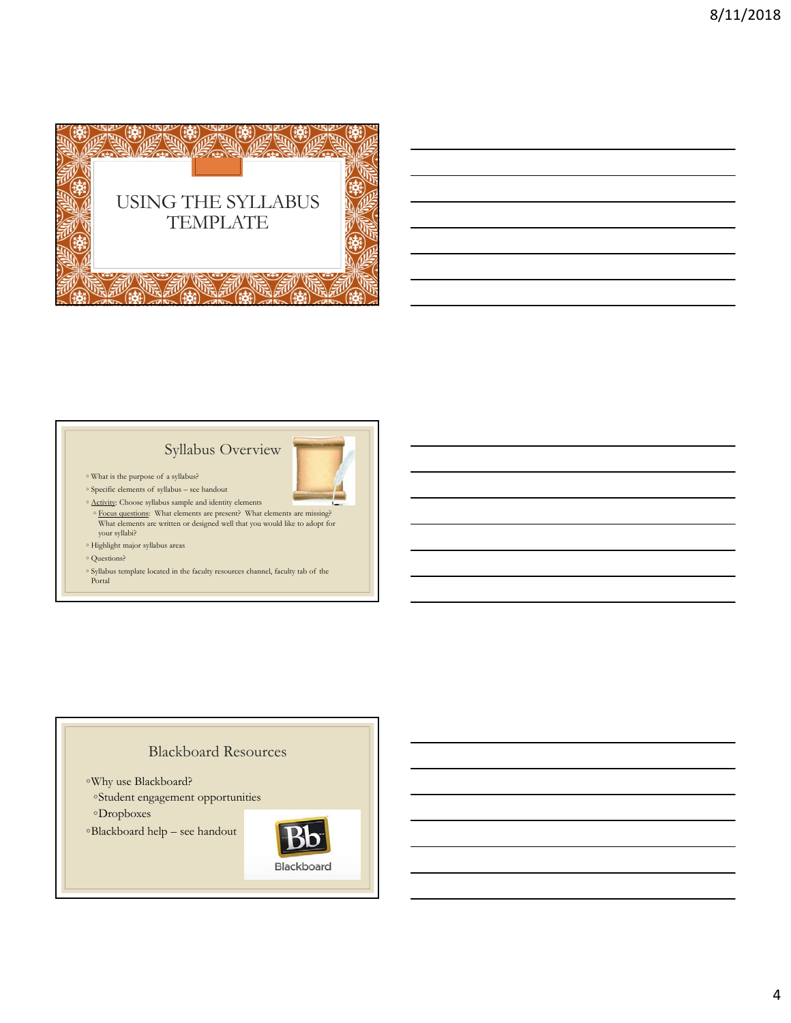

### Syllabus Overview



- What is the purpose of a syllabus?
- Specific elements of syllabus see handout
- Activity: Choose syllabus sample and identity elements
- Focus questions: What elements are present? What elements are missing? What elements are written or designed well that you would like to adopt for your syllabi?
- Highlight major syllabus areas
- Questions?
- Syllabus template located in the faculty resources channel, faculty tab of the Portal

#### Blackboard Resources

- ◦Why use Blackboard?
- ◦Student engagement opportunities

◦Dropboxes

◦Blackboard help – see handout